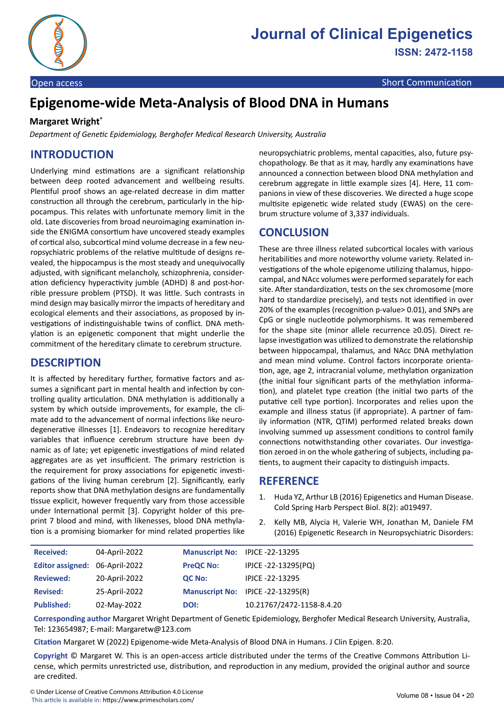

Open access and the communication of the communication of the communication of the communication

# **Epigenome-wide Meta-Analysis of Blood DNA in Humans**

#### **Margaret Wright\***

*Department of Genetic Epidemiology, Berghofer Medical Research University, Australia*

## **INTRODUCTION**

Underlying mind estimations are a significant relationship between deep rooted advancement and wellbeing results. Plentiful proof shows an age-related decrease in dim matter construction all through the cerebrum, particularly in the hippocampus. This relates with unfortunate memory limit in the old. Late discoveries from broad neuroimaging examination inside the ENIGMA consortium have uncovered steady examples of cortical also, subcortical mind volume decrease in a few neuropsychiatric problems of the relative multitude of designs revealed, the hippocampus is the most steady and unequivocally adjusted, with significant melancholy, schizophrenia, consideration deficiency hyperactivity jumble (ADHD) 8 and post-horrible pressure problem (PTSD). It was little. Such contrasts in mind design may basically mirror the impacts of hereditary and ecological elements and their associations, as proposed by investigations of indistinguishable twins of conflict. DNA methylation is an epigenetic component that might underlie the commitment of the hereditary climate to cerebrum structure.

#### **DESCRIPTION**

It is affected by hereditary further, formative factors and assumes a significant part in mental health and infection by controlling quality articulation. DNA methylation is additionally a system by which outside improvements, for example, the climate add to the advancement of normal infections like neurodegenerative illnesses [1]. Endeavors to recognize hereditary variables that influence cerebrum structure have been dynamic as of late; yet epigenetic investigations of mind related aggregates are as yet insufficient. The primary restriction is the requirement for proxy associations for epigenetic investigations of the living human cerebrum [2]. Significantly, early reports show that DNA methylation designs are fundamentally tissue explicit, however frequently vary from those accessible under International permit [3]. Copyright holder of this preprint 7 blood and mind, with likenesses, blood DNA methylation is a promising biomarker for mind related properties like

neuropsychiatric problems, mental capacities, also, future psychopathology. Be that as it may, hardly any examinations have announced a connection between blood DNA methylation and cerebrum aggregate in little example sizes [4]. Here, 11 companions in view of these discoveries. We directed a huge scope multisite epigenetic wide related study (EWAS) on the cerebrum structure volume of 3,337 individuals.

### **CONCLUSION**

These are three illness related subcortical locales with various heritabilities and more noteworthy volume variety. Related investigations of the whole epigenome utilizing thalamus, hippocampal, and NAcc volumes were performed separately for each site. After standardization, tests on the sex chromosome (more hard to standardize precisely), and tests not identified in over 20% of the examples (recognition p-value> 0.01), and SNPs are CpG or single nucleotide polymorphisms. It was remembered for the shape site (minor allele recurrence ≥0.05). Direct relapse investigation was utilized to demonstrate the relationship between hippocampal, thalamus, and NAcc DNA methylation and mean mind volume. Control factors incorporate orientation, age, age 2, intracranial volume, methylation organization (the initial four significant parts of the methylation information), and platelet type creation (the initial two parts of the putative cell type portion). Incorporates and relies upon the example and illness status (if appropriate). A partner of family information (NTR, QTIM) performed related breaks down involving summed up assessment conditions to control family connections notwithstanding other covariates. Our investigation zeroed in on the whole gathering of subjects, including patients, to augment their capacity to distinguish impacts.

#### **REFERENCE**

- 1. Huda YZ, Arthur LB (2016) [Epigenetics and Hum](https://www.ncbi.nlm.nih.gov/pmc/articles/PMC4743078/)an Disease. Cold Spring Harb Perspect Biol. 8(2): a019497.
- 2. Kelly MB, Alycia H, Valerie WH, Jonathan M, Daniele FM (2016) E[pigenetic Research in Neuropsychiatric Disord](https://www.ncbi.nlm.nih.gov/pmc/articles/PMC5235359/)ers:

| <b>Received:</b>               | 04-April-2022 | Manuscript No: IPJCE -22-13295 |                                   |
|--------------------------------|---------------|--------------------------------|-----------------------------------|
| Editor assigned: 06-April-2022 |               | <b>PreQC No:</b>               | IPJCE -22-13295(PQ)               |
| <b>Reviewed:</b>               | 20-April-2022 | <b>QC No:</b>                  | IPICE -22-13295                   |
| <b>Revised:</b>                | 25-April-2022 |                                | Manuscript No: IPJCE -22-13295(R) |
| <b>Published:</b>              | 02-May-2022   | DOI:                           | 10.21767/2472-1158-8.4.20         |

**Corresponding author** Margaret Wright Department of Genetic Epidemiology, Berghofer Medical Research University, Australia, Tel: 123654987; E-mail: Margaretw@123.com

**Citation** Margaret W (2022) Epigenome-wide Meta-Analysis of Blood DNA in Humans. J Clin Epigen. 8:20.

**Copyright** © Margaret W. This is an open-access article distributed under the terms of the Creative Commons Attribution License, which permits unrestricted use, distribution, and reproduction in any medium, provided the original author and source are credited.